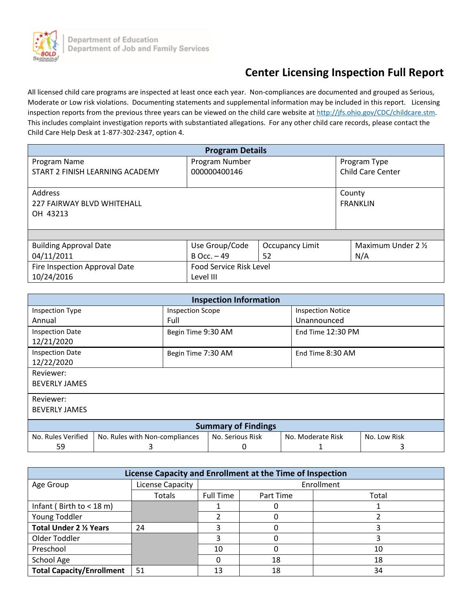

# **Center Licensing Inspection Full Report**

All licensed child care programs are inspected at least once each year. Non-compliances are documented and grouped as Serious, Moderate or Low risk violations. Documenting statements and supplemental information may be included in this report. Licensing inspection reports from the previous three years can be viewed on the child care website a[t http://jfs.ohio.gov/CDC/childcare.stm.](http://jfs.ohio.gov/CDC/childcare.stm) This includes complaint investigation reports with substantiated allegations. For any other child care records, please contact the Child Care Help Desk at 1-877-302-2347, option 4.

| <b>Program Details</b>                                   |                                |                 |        |                          |
|----------------------------------------------------------|--------------------------------|-----------------|--------|--------------------------|
| Program Name                                             | Program Number                 |                 |        | Program Type             |
| START 2 FINISH LEARNING ACADEMY                          | 000000400146                   |                 |        | <b>Child Care Center</b> |
| <b>Address</b><br>227 FAIRWAY BLVD WHITEHALL<br>OH 43213 |                                |                 | County | <b>FRANKLIN</b>          |
|                                                          |                                |                 |        |                          |
| <b>Building Approval Date</b>                            | Use Group/Code                 | Occupancy Limit |        | Maximum Under 2 1/2      |
| 04/11/2011                                               | $B$ Occ. $-49$                 | 52              |        | N/A                      |
| Fire Inspection Approval Date                            | <b>Food Service Risk Level</b> |                 |        |                          |
| 10/24/2016                                               | Level III                      |                 |        |                          |

| <b>Inspection Information</b>        |                                |                    |                          |              |
|--------------------------------------|--------------------------------|--------------------|--------------------------|--------------|
| Inspection Type                      | <b>Inspection Scope</b>        |                    | <b>Inspection Notice</b> |              |
| Annual                               | Full                           |                    | Unannounced              |              |
| <b>Inspection Date</b><br>12/21/2020 | Begin Time 9:30 AM             |                    | End Time 12:30 PM        |              |
| <b>Inspection Date</b><br>12/22/2020 |                                | Begin Time 7:30 AM | End Time 8:30 AM         |              |
| Reviewer:                            |                                |                    |                          |              |
| <b>BEVERLY JAMES</b>                 |                                |                    |                          |              |
| Reviewer:                            |                                |                    |                          |              |
| <b>BEVERLY JAMES</b>                 |                                |                    |                          |              |
| <b>Summary of Findings</b>           |                                |                    |                          |              |
| No. Rules Verified                   | No. Rules with Non-compliances | No. Serious Risk   | No. Moderate Risk        | No. Low Risk |
| 59                                   | 3                              |                    |                          |              |

| License Capacity and Enrollment at the Time of Inspection |                  |                  |           |       |
|-----------------------------------------------------------|------------------|------------------|-----------|-------|
| Age Group                                                 | License Capacity | Enrollment       |           |       |
|                                                           | Totals           | <b>Full Time</b> | Part Time | Total |
| Infant (Birth to $<$ 18 m)                                |                  |                  | 0         |       |
| Young Toddler                                             |                  |                  | O         |       |
| Total Under 2 1/2 Years                                   | 24               |                  |           |       |
| Older Toddler                                             |                  |                  | Ω         |       |
| Preschool                                                 |                  | 10               | 0         | 10    |
| School Age                                                |                  |                  | 18        | 18    |
| <b>Total Capacity/Enrollment</b>                          | 51               | 13               | 18        | 34    |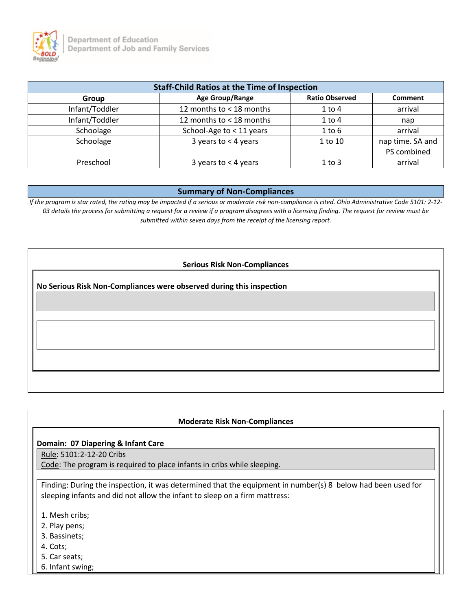

| <b>Staff-Child Ratios at the Time of Inspection</b> |                          |                       |                  |  |
|-----------------------------------------------------|--------------------------|-----------------------|------------------|--|
| Group                                               | Age Group/Range          | <b>Ratio Observed</b> | <b>Comment</b>   |  |
| Infant/Toddler                                      | 12 months to < 18 months | $1$ to $4$            | arrival          |  |
| Infant/Toddler                                      | 12 months to < 18 months | $1$ to $4$            | nap              |  |
| Schoolage                                           | School-Age to < 11 years | $1$ to $6$            | arrival          |  |
| Schoolage                                           | 3 years to $<$ 4 years   | 1 to 10               | nap time. SA and |  |
|                                                     |                          |                       | PS combined      |  |
| Preschool                                           | 3 years to $<$ 4 years   | $1$ to $3$            | arrival          |  |

#### **Summary of Non-Compliances**

*If the program is star rated, the rating may be impacted if a serious or moderate risk non-compliance is cited. Ohio Administrative Code 5101: 2-12- 03 details the process for submitting a request for a review if a program disagrees with a licensing finding. The request for review must be submitted within seven days from the receipt of the licensing report.*

#### **Serious Risk Non-Compliances**

**No Serious Risk Non-Compliances were observed during this inspection**

#### **Moderate Risk Non-Compliances**

#### **Domain: 07 Diapering & Infant Care**

Rule: 5101:2-12-20 Cribs

Code: The program is required to place infants in cribs while sleeping.

Finding: During the inspection, it was determined that the equipment in number(s) 8 below had been used for sleeping infants and did not allow the infant to sleep on a firm mattress:

- 1. Mesh cribs;
- 2. Play pens;
- 3. Bassinets;
- 4. Cots;
- 5. Car seats;
- 6. Infant swing;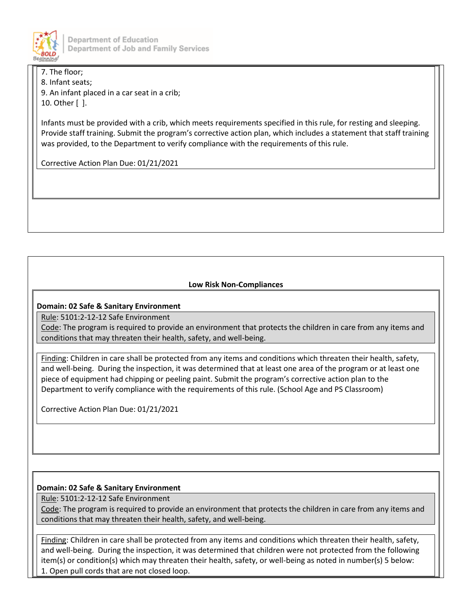

**Department of Education** Department of Job and Family Services

7. The floor; 8. Infant seats;

9. An infant placed in a car seat in a crib; 10. Other [ ].

Infants must be provided with a crib, which meets requirements specified in this rule, for resting and sleeping. Provide staff training. Submit the program's corrective action plan, which includes a statement that staff training was provided, to the Department to verify compliance with the requirements of this rule.

Corrective Action Plan Due: 01/21/2021

## **Low Risk Non-Compliances**

## **Domain: 02 Safe & Sanitary Environment**

Rule: 5101:2-12-12 Safe Environment

Code: The program is required to provide an environment that protects the children in care from any items and conditions that may threaten their health, safety, and well-being.

Finding: Children in care shall be protected from any items and conditions which threaten their health, safety, and well-being. During the inspection, it was determined that at least one area of the program or at least one piece of equipment had chipping or peeling paint. Submit the program's corrective action plan to the Department to verify compliance with the requirements of this rule. (School Age and PS Classroom)

Corrective Action Plan Due: 01/21/2021

## **Domain: 02 Safe & Sanitary Environment**

Rule: 5101:2-12-12 Safe Environment

Code: The program is required to provide an environment that protects the children in care from any items and conditions that may threaten their health, safety, and well-being.

Finding: Children in care shall be protected from any items and conditions which threaten their health, safety, and well-being. During the inspection, it was determined that children were not protected from the following item(s) or condition(s) which may threaten their health, safety, or well-being as noted in number(s) 5 below: 1. Open pull cords that are not closed loop.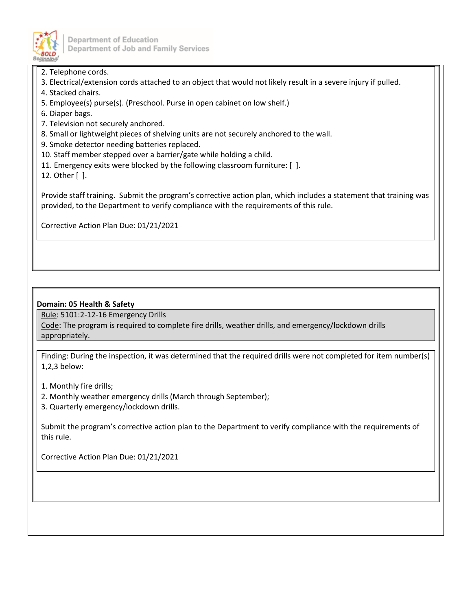

Department of Education Department of Job and Family Services

2. Telephone cords.

- 3. Electrical/extension cords attached to an object that would not likely result in a severe injury if pulled.
- 4. Stacked chairs.
- 5. Employee(s) purse(s). (Preschool. Purse in open cabinet on low shelf.)
- 6. Diaper bags.
- 7. Television not securely anchored.
- 8. Small or lightweight pieces of shelving units are not securely anchored to the wall.
- 9. Smoke detector needing batteries replaced.
- 10. Staff member stepped over a barrier/gate while holding a child.
- 11. Emergency exits were blocked by the following classroom furniture: [ ].

12. Other [ ].

Provide staff training. Submit the program's corrective action plan, which includes a statement that training was provided, to the Department to verify compliance with the requirements of this rule.

Corrective Action Plan Due: 01/21/2021

### **Domain: 05 Health & Safety**

Rule: 5101:2-12-16 Emergency Drills

Code: The program is required to complete fire drills, weather drills, and emergency/lockdown drills appropriately.

Finding: During the inspection, it was determined that the required drills were not completed for item number(s) 1,2,3 below:

1. Monthly fire drills;

- 2. Monthly weather emergency drills (March through September);
- 3. Quarterly emergency/lockdown drills.

Submit the program's corrective action plan to the Department to verify compliance with the requirements of this rule.

Corrective Action Plan Due: 01/21/2021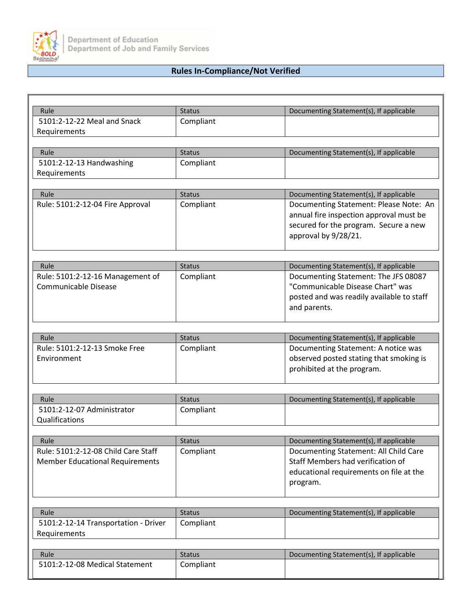

## **Rules In-Compliance/Not Verified**

| Rule                                   | <b>Status</b> | Documenting Statement(s), If applicable                               |
|----------------------------------------|---------------|-----------------------------------------------------------------------|
| 5101:2-12-22 Meal and Snack            | Compliant     |                                                                       |
| Requirements                           |               |                                                                       |
|                                        |               |                                                                       |
| Rule                                   | <b>Status</b> | Documenting Statement(s), If applicable                               |
| 5101:2-12-13 Handwashing               | Compliant     |                                                                       |
| Requirements                           |               |                                                                       |
|                                        |               |                                                                       |
| Rule                                   | <b>Status</b> | Documenting Statement(s), If applicable                               |
| Rule: 5101:2-12-04 Fire Approval       | Compliant     | Documenting Statement: Please Note: An                                |
|                                        |               | annual fire inspection approval must be                               |
|                                        |               | secured for the program. Secure a new<br>approval by 9/28/21.         |
|                                        |               |                                                                       |
|                                        |               |                                                                       |
| Rule                                   | <b>Status</b> | Documenting Statement(s), If applicable                               |
| Rule: 5101:2-12-16 Management of       | Compliant     | Documenting Statement: The JFS 08087                                  |
| Communicable Disease                   |               | "Communicable Disease Chart" was                                      |
|                                        |               | posted and was readily available to staff                             |
|                                        |               | and parents.                                                          |
|                                        |               |                                                                       |
|                                        |               |                                                                       |
| Rule                                   | <b>Status</b> | Documenting Statement(s), If applicable                               |
| Rule: 5101:2-12-13 Smoke Free          | Compliant     | Documenting Statement: A notice was                                   |
| Environment                            |               | observed posted stating that smoking is<br>prohibited at the program. |
|                                        |               |                                                                       |
|                                        |               |                                                                       |
| Rule                                   | <b>Status</b> | Documenting Statement(s), If applicable                               |
| 5101:2-12-07 Administrator             | Compliant     |                                                                       |
| Qualifications                         |               |                                                                       |
|                                        |               |                                                                       |
| Rule                                   | <b>Status</b> | Documenting Statement(s), If applicable                               |
| Rule: 5101:2-12-08 Child Care Staff    | Compliant     | Documenting Statement: All Child Care                                 |
| <b>Member Educational Requirements</b> |               | Staff Members had verification of                                     |
|                                        |               | educational requirements on file at the                               |
|                                        |               | program.                                                              |
|                                        |               |                                                                       |
| Rule                                   | <b>Status</b> | Documenting Statement(s), If applicable                               |
| 5101:2-12-14 Transportation - Driver   | Compliant     |                                                                       |
| Requirements                           |               |                                                                       |
|                                        |               |                                                                       |
| Rule                                   | <b>Status</b> | Documenting Statement(s), If applicable                               |
| 5101:2-12-08 Medical Statement         | Compliant     |                                                                       |
|                                        |               |                                                                       |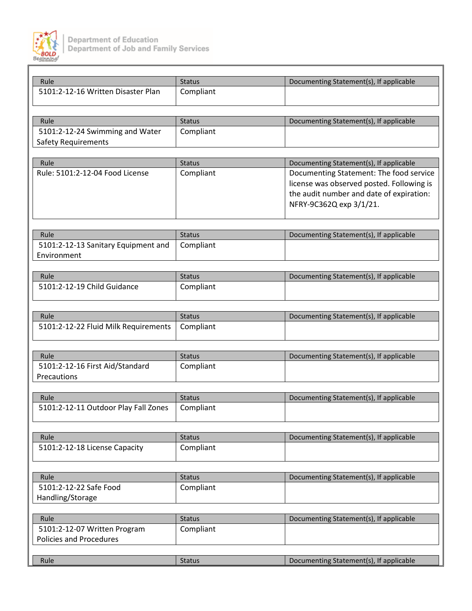

| Rule                                       | <b>Status</b>              | Documenting Statement(s), If applicable   |
|--------------------------------------------|----------------------------|-------------------------------------------|
| 5101:2-12-16 Written Disaster Plan         | Compliant                  |                                           |
|                                            |                            |                                           |
|                                            |                            |                                           |
| Rule<br>5101:2-12-24 Swimming and Water    | <b>Status</b><br>Compliant | Documenting Statement(s), If applicable   |
| <b>Safety Requirements</b>                 |                            |                                           |
|                                            |                            |                                           |
| Rule                                       | <b>Status</b>              | Documenting Statement(s), If applicable   |
| Rule: 5101:2-12-04 Food License            | Compliant                  | Documenting Statement: The food service   |
|                                            |                            | license was observed posted. Following is |
|                                            |                            | the audit number and date of expiration:  |
|                                            |                            | NFRY-9C362Q exp 3/1/21.                   |
|                                            |                            |                                           |
| Rule                                       | <b>Status</b>              | Documenting Statement(s), If applicable   |
| 5101:2-12-13 Sanitary Equipment and        | Compliant                  |                                           |
| Environment                                |                            |                                           |
|                                            |                            |                                           |
| Rule                                       | <b>Status</b>              | Documenting Statement(s), If applicable   |
| 5101:2-12-19 Child Guidance                | Compliant                  |                                           |
|                                            |                            |                                           |
|                                            |                            |                                           |
| Rule                                       | <b>Status</b>              | Documenting Statement(s), If applicable   |
| 5101:2-12-22 Fluid Milk Requirements       | Compliant                  |                                           |
|                                            |                            |                                           |
| Rule                                       | <b>Status</b>              | Documenting Statement(s), If applicable   |
| 5101:2-12-16 First Aid/Standard            | Compliant                  |                                           |
| Precautions                                |                            |                                           |
|                                            |                            |                                           |
| Rule                                       | <b>Status</b>              | Documenting Statement(s), If applicable   |
| 5101:2-12-11 Outdoor Play Fall Zones       | Compliant                  |                                           |
|                                            |                            |                                           |
| Rule                                       | <b>Status</b>              | Documenting Statement(s), If applicable   |
| 5101:2-12-18 License Capacity              | Compliant                  |                                           |
|                                            |                            |                                           |
|                                            |                            |                                           |
| Rule                                       | <b>Status</b>              | Documenting Statement(s), If applicable   |
| 5101:2-12-22 Safe Food<br>Handling/Storage | Compliant                  |                                           |
|                                            |                            |                                           |
| Rule                                       | <b>Status</b>              | Documenting Statement(s), If applicable   |
| 5101:2-12-07 Written Program               | Compliant                  |                                           |
| <b>Policies and Procedures</b>             |                            |                                           |
|                                            |                            |                                           |
| Rule                                       | <b>Status</b>              | Documenting Statement(s), If applicable   |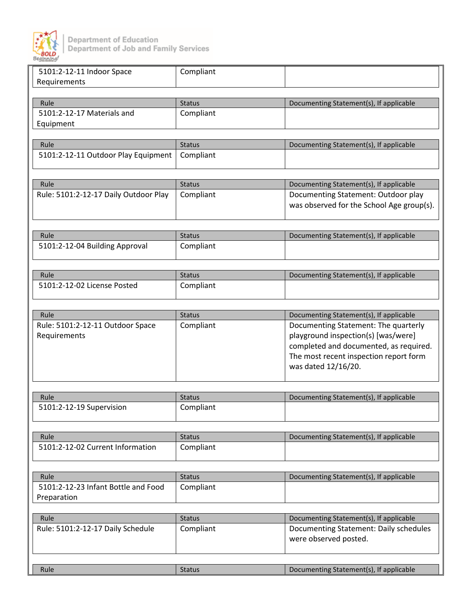

| 5101:2-12-11 Indoor Space             | Compliant     |                                           |
|---------------------------------------|---------------|-------------------------------------------|
| Requirements                          |               |                                           |
|                                       |               |                                           |
| Rule                                  | <b>Status</b> | Documenting Statement(s), If applicable   |
| 5101:2-12-17 Materials and            | Compliant     |                                           |
| Equipment                             |               |                                           |
|                                       |               |                                           |
| Rule                                  | <b>Status</b> | Documenting Statement(s), If applicable   |
| 5101:2-12-11 Outdoor Play Equipment   | Compliant     |                                           |
|                                       |               |                                           |
|                                       |               |                                           |
| Rule                                  | <b>Status</b> | Documenting Statement(s), If applicable   |
| Rule: 5101:2-12-17 Daily Outdoor Play | Compliant     | Documenting Statement: Outdoor play       |
|                                       |               | was observed for the School Age group(s). |
|                                       |               |                                           |
|                                       |               |                                           |
| Rule                                  | <b>Status</b> | Documenting Statement(s), If applicable   |
| 5101:2-12-04 Building Approval        | Compliant     |                                           |
|                                       |               |                                           |
|                                       |               |                                           |
| Rule                                  | <b>Status</b> | Documenting Statement(s), If applicable   |
| 5101:2-12-02 License Posted           | Compliant     |                                           |
|                                       |               |                                           |
|                                       |               |                                           |
| Rule                                  | <b>Status</b> | Documenting Statement(s), If applicable   |
| Rule: 5101:2-12-11 Outdoor Space      | Compliant     | Documenting Statement: The quarterly      |
| Requirements                          |               | playground inspection(s) [was/were]       |
|                                       |               | completed and documented, as required.    |
|                                       |               | The most recent inspection report form    |
|                                       |               | was dated 12/16/20.                       |
|                                       |               |                                           |
|                                       |               |                                           |
| Rule                                  | <b>Status</b> | Documenting Statement(s), If applicable   |
| 5101:2-12-19 Supervision              | Compliant     |                                           |
|                                       |               |                                           |
| Rule                                  | <b>Status</b> | Documenting Statement(s), If applicable   |
| 5101:2-12-02 Current Information      | Compliant     |                                           |
|                                       |               |                                           |
|                                       |               |                                           |
| Rule                                  | <b>Status</b> | Documenting Statement(s), If applicable   |
| 5101:2-12-23 Infant Bottle and Food   | Compliant     |                                           |
| Preparation                           |               |                                           |
|                                       |               |                                           |
| Rule                                  | <b>Status</b> | Documenting Statement(s), If applicable   |
|                                       |               | Documenting Statement: Daily schedules    |
| Rule: 5101:2-12-17 Daily Schedule     | Compliant     | were observed posted.                     |
|                                       |               |                                           |
|                                       |               |                                           |
| Rule                                  | <b>Status</b> |                                           |
|                                       |               | Documenting Statement(s), If applicable   |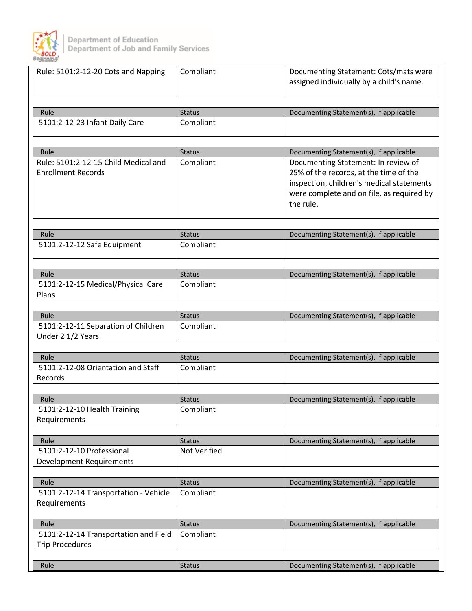

| Rule: 5101:2-12-20 Cots and Napping                               | Compliant     | Documenting Statement: Cots/mats were<br>assigned individually by a child's name. |
|-------------------------------------------------------------------|---------------|-----------------------------------------------------------------------------------|
| Rule                                                              | <b>Status</b> | Documenting Statement(s), If applicable                                           |
| 5101:2-12-23 Infant Daily Care                                    | Compliant     |                                                                                   |
|                                                                   |               |                                                                                   |
|                                                                   |               |                                                                                   |
| Rule                                                              | <b>Status</b> | Documenting Statement(s), If applicable                                           |
| Rule: 5101:2-12-15 Child Medical and<br><b>Enrollment Records</b> | Compliant     | Documenting Statement: In review of<br>25% of the records, at the time of the     |
|                                                                   |               | inspection, children's medical statements                                         |
|                                                                   |               | were complete and on file, as required by                                         |
|                                                                   |               | the rule.                                                                         |
|                                                                   |               |                                                                                   |
| Rule                                                              | <b>Status</b> | Documenting Statement(s), If applicable                                           |
| 5101:2-12-12 Safe Equipment                                       | Compliant     |                                                                                   |
|                                                                   |               |                                                                                   |
| Rule                                                              | <b>Status</b> | Documenting Statement(s), If applicable                                           |
| 5101:2-12-15 Medical/Physical Care                                | Compliant     |                                                                                   |
| Plans                                                             |               |                                                                                   |
|                                                                   |               |                                                                                   |
| Rule                                                              | <b>Status</b> | Documenting Statement(s), If applicable                                           |
| 5101:2-12-11 Separation of Children<br>Under 2 1/2 Years          | Compliant     |                                                                                   |
|                                                                   |               |                                                                                   |
| Rule                                                              | <b>Status</b> | Documenting Statement(s), If applicable                                           |
| 5101:2-12-08 Orientation and Staff                                | Compliant     |                                                                                   |
| Records                                                           |               |                                                                                   |
| Rule                                                              | <b>Status</b> | Documenting Statement(s), If applicable                                           |
| 5101:2-12-10 Health Training                                      | Compliant     |                                                                                   |
| Requirements                                                      |               |                                                                                   |
|                                                                   |               |                                                                                   |
| Rule                                                              | <b>Status</b> | Documenting Statement(s), If applicable                                           |
| 5101:2-12-10 Professional                                         | Not Verified  |                                                                                   |
| <b>Development Requirements</b>                                   |               |                                                                                   |
| Rule                                                              | <b>Status</b> | Documenting Statement(s), If applicable                                           |
| 5101:2-12-14 Transportation - Vehicle                             | Compliant     |                                                                                   |
| Requirements                                                      |               |                                                                                   |
|                                                                   |               |                                                                                   |
| Rule                                                              | <b>Status</b> | Documenting Statement(s), If applicable                                           |
| 5101:2-12-14 Transportation and Field<br><b>Trip Procedures</b>   | Compliant     |                                                                                   |
|                                                                   |               |                                                                                   |
| Rule                                                              | <b>Status</b> | Documenting Statement(s), If applicable                                           |
|                                                                   |               |                                                                                   |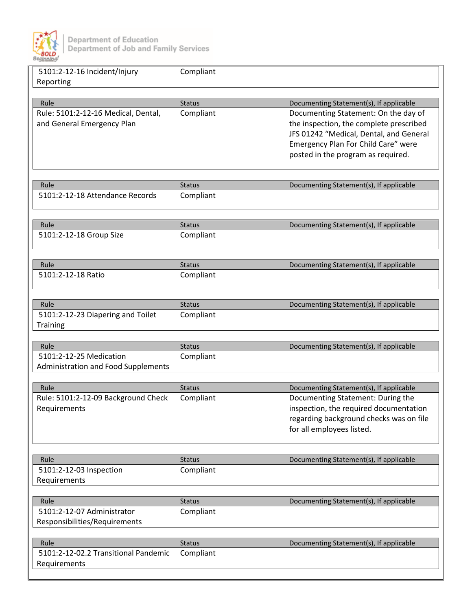

| 5101:2-12-16 Incident/Injury         | Compliant     |                                         |
|--------------------------------------|---------------|-----------------------------------------|
| Reporting                            |               |                                         |
|                                      |               |                                         |
| Rule                                 | <b>Status</b> | Documenting Statement(s), If applicable |
| Rule: 5101:2-12-16 Medical, Dental,  | Compliant     | Documenting Statement: On the day of    |
| and General Emergency Plan           |               | the inspection, the complete prescribed |
|                                      |               | JFS 01242 "Medical, Dental, and General |
|                                      |               | Emergency Plan For Child Care" were     |
|                                      |               | posted in the program as required.      |
|                                      |               |                                         |
|                                      |               |                                         |
| Rule                                 | <b>Status</b> | Documenting Statement(s), If applicable |
| 5101:2-12-18 Attendance Records      | Compliant     |                                         |
|                                      |               |                                         |
| Rule                                 | <b>Status</b> | Documenting Statement(s), If applicable |
| 5101:2-12-18 Group Size              | Compliant     |                                         |
|                                      |               |                                         |
|                                      |               |                                         |
| Rule                                 | <b>Status</b> | Documenting Statement(s), If applicable |
| 5101:2-12-18 Ratio                   | Compliant     |                                         |
|                                      |               |                                         |
|                                      |               |                                         |
| Rule                                 | <b>Status</b> | Documenting Statement(s), If applicable |
| 5101:2-12-23 Diapering and Toilet    | Compliant     |                                         |
| <b>Training</b>                      |               |                                         |
|                                      |               |                                         |
| Rule<br>5101:2-12-25 Medication      | <b>Status</b> | Documenting Statement(s), If applicable |
| Administration and Food Supplements  | Compliant     |                                         |
|                                      |               |                                         |
| Rule                                 | <b>Status</b> | Documenting Statement(s), If applicable |
| Rule: 5101:2-12-09 Background Check  | Compliant     | Documenting Statement: During the       |
| Requirements                         |               | inspection, the required documentation  |
|                                      |               | regarding background checks was on file |
|                                      |               | for all employees listed.               |
|                                      |               |                                         |
|                                      |               |                                         |
| Rule                                 | <b>Status</b> | Documenting Statement(s), If applicable |
| 5101:2-12-03 Inspection              | Compliant     |                                         |
| Requirements                         |               |                                         |
|                                      |               |                                         |
| Rule                                 | <b>Status</b> | Documenting Statement(s), If applicable |
| 5101:2-12-07 Administrator           | Compliant     |                                         |
| Responsibilities/Requirements        |               |                                         |
|                                      |               |                                         |
| Rule                                 | <b>Status</b> | Documenting Statement(s), If applicable |
| 5101:2-12-02.2 Transitional Pandemic | Compliant     |                                         |
| Requirements                         |               |                                         |